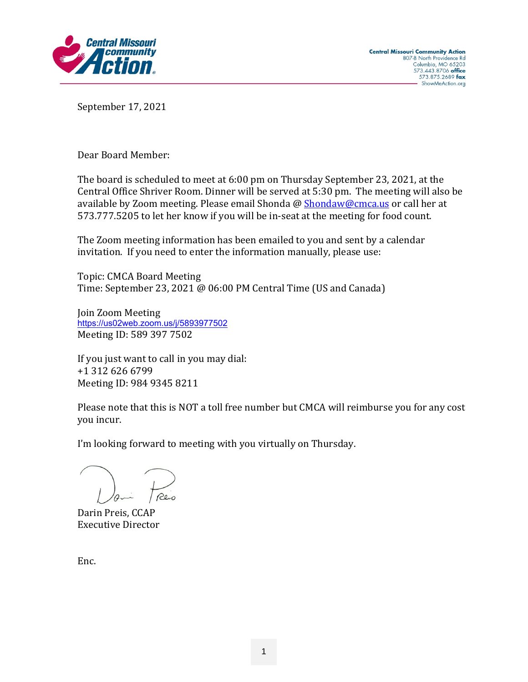

September 17, 2021

Dear Board Member:

The board is scheduled to meet at 6:00 pm on Thursday September 23, 2021, at the Central Office Shriver Room. Dinner will be served at 5:30 pm. The meeting will also be available by Zoom meeting. Please email Shonda @ [Shondaw@cmca.us](mailto:Shondaw@cmca.us) or call her at 573.777.5205 to let her know if you will be in-seat at the meeting for food count.

The Zoom meeting information has been emailed to you and sent by a calendar invitation. If you need to enter the information manually, please use:

Topic: CMCA Board Meeting Time: September 23, 2021 @ 06:00 PM Central Time (US and Canada)

Join Zoom Meeting <https://us02web.zoom.us/j/5893977502> Meeting ID: 589 397 7502

If you just want to call in you may dial: +1 312 626 6799 Meeting ID: 984 9345 8211

Please note that this is NOT a toll free number but CMCA will reimburse you for any cost you incur.

I'm looking forward to meeting with you virtually on Thursday.

Darin Preis, CCAP Executive Director

Enc.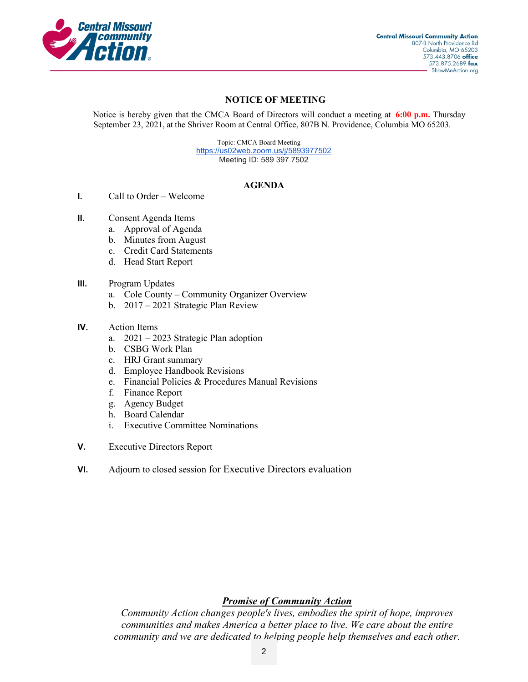

### **NOTICE OF MEETING**

Notice is hereby given that the CMCA Board of Directors will conduct a meeting at **6:00 p.m.** Thursday September 23, 2021, at the Shriver Room at Central Office, 807B N. Providence, Columbia MO 65203.

> Topic: CMCA Board Meeting [https://us02web.zoom.us/j/5893977502](https://www.google.com/url?q=https%3A%2F%2Fus02web.zoom.us%2Fj%2F5893977502&sa=D&ust=1592860342771000&usg=AOvVaw3UsI6ZSAaEeskOieJK8mqe) Meeting ID: 589 397 7502

### **AGENDA**

- **I.** Call to Order Welcome
- **II.** Consent Agenda Items
	- a. Approval of Agenda
	- b. Minutes from August
	- c. Credit Card Statements
	- d. Head Start Report
- **III.** Program Updates
	- a. Cole County Community Organizer Overview
	- b. 2017 2021 Strategic Plan Review

#### **IV.** Action Items

- a. 2021 2023 Strategic Plan adoption
- b. CSBG Work Plan
- c. HRJ Grant summary
- d. Employee Handbook Revisions
- e. Financial Policies & Procedures Manual Revisions
- f. Finance Report
- g. Agency Budget
- h. Board Calendar
- i. Executive Committee Nominations
- **V.** Executive Directors Report
- **VI.** Adjourn to closed session for Executive Directors evaluation

### *Promise of Community Action*

*Community Action changes people's lives, embodies the spirit of hope, improves communities and makes America a better place to live. We care about the entire community and we are dedicated to helping people help themselves and each other.*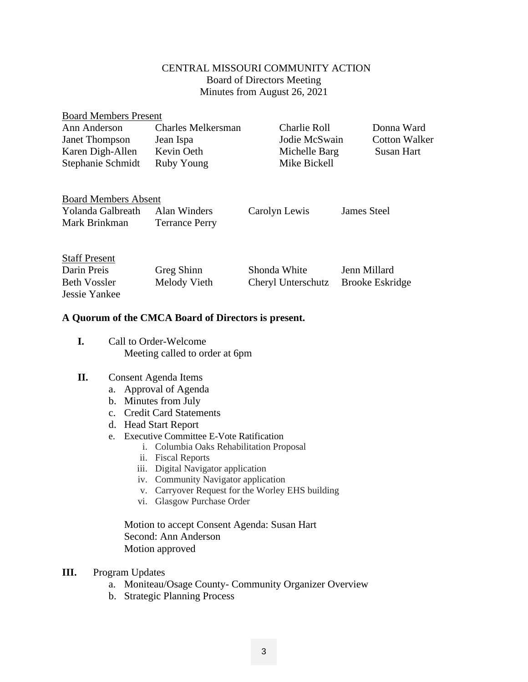### CENTRAL MISSOURI COMMUNITY ACTION Board of Directors Meeting Minutes from August 26, 2021

| <b>Board Members Present</b> |                           |               |                      |
|------------------------------|---------------------------|---------------|----------------------|
| Ann Anderson                 | <b>Charles Melkersman</b> | Charlie Roll  | Donna Ward           |
| <b>Janet Thompson</b>        | Jean Ispa                 | Jodie McSwain | <b>Cotton Walker</b> |
| Karen Digh-Allen             | Kevin Oeth                | Michelle Barg | Susan Hart           |
| Stephanie Schmidt            | Ruby Young                | Mike Bickell  |                      |
|                              |                           |               |                      |
| <b>Board Members Absent</b>  |                           |               |                      |
| Yolanda Galbreath            | Alan Winders              | Carolyn Lewis | James Steel          |
| Mark Brinkman                | <b>Terrance Perry</b>     |               |                      |

| <b>Staff Present</b> |              |                                    |              |
|----------------------|--------------|------------------------------------|--------------|
| Darin Preis          | Greg Shinn   | Shonda White                       | Jenn Millard |
| Beth Vossler         | Melody Vieth | Cheryl Unterschutz Brooke Eskridge |              |
| Jessie Yankee        |              |                                    |              |

### **A Quorum of the CMCA Board of Directors is present.**

**I.** Call to Order-Welcome Meeting called to order at 6pm

### **II.** Consent Agenda Items

- a. Approval of Agenda
- b. Minutes from July
- c. Credit Card Statements
- d. Head Start Report
- e. Executive Committee E-Vote Ratification
	- i. Columbia Oaks Rehabilitation Proposal
	- ii. Fiscal Reports
	- iii. Digital Navigator application
	- iv. Community Navigator application
	- v. Carryover Request for the Worley EHS building
	- vi. Glasgow Purchase Order

Motion to accept Consent Agenda: Susan Hart Second: Ann Anderson Motion approved

- **III.** Program Updates
	- a. Moniteau/Osage County- Community Organizer Overview
	- b. Strategic Planning Process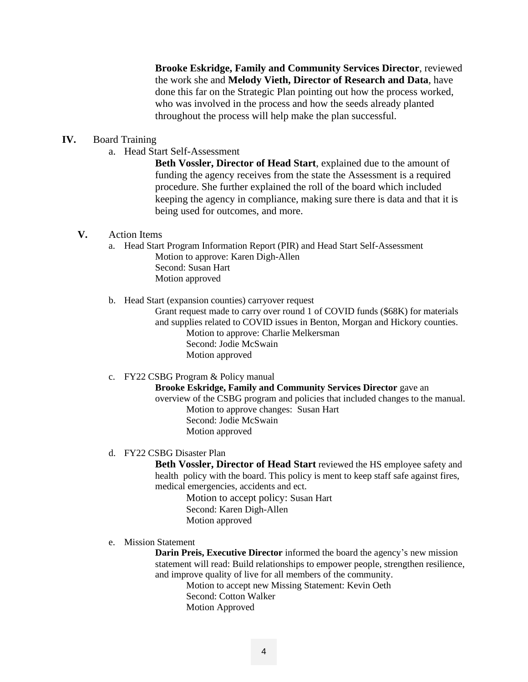**Brooke Eskridge, Family and Community Services Director**, reviewed the work she and **Melody Vieth, Director of Research and Data**, have done this far on the Strategic Plan pointing out how the process worked, who was involved in the process and how the seeds already planted throughout the process will help make the plan successful.

#### **IV.** Board Training

a. Head Start Self-Assessment

**Beth Vossler, Director of Head Start**, explained due to the amount of funding the agency receives from the state the Assessment is a required procedure. She further explained the roll of the board which included keeping the agency in compliance, making sure there is data and that it is being used for outcomes, and more.

#### **V.** Action Items

- a. Head Start Program Information Report (PIR) and Head Start Self-Assessment Motion to approve: Karen Digh-Allen Second: Susan Hart Motion approved
- b. Head Start (expansion counties) carryover request

Grant request made to carry over round 1 of COVID funds (\$68K) for materials and supplies related to COVID issues in Benton, Morgan and Hickory counties. Motion to approve: Charlie Melkersman Second: Jodie McSwain Motion approved

c. FY22 CSBG Program & Policy manual

**Brooke Eskridge, Family and Community Services Director** gave an overview of the CSBG program and policies that included changes to the manual. Motion to approve changes: Susan Hart Second: Jodie McSwain Motion approved

d. FY22 CSBG Disaster Plan

**Beth Vossler, Director of Head Start** reviewed the HS employee safety and health policy with the board. This policy is ment to keep staff safe against fires, medical emergencies, accidents and ect.

Motion to accept policy: Susan Hart Second: Karen Digh-Allen Motion approved

e. Mission Statement

**Darin Preis, Executive Director** informed the board the agency's new mission statement will read: Build relationships to empower people, strengthen resilience, and improve quality of live for all members of the community.

> Motion to accept new Missing Statement: Kevin Oeth Second: Cotton Walker Motion Approved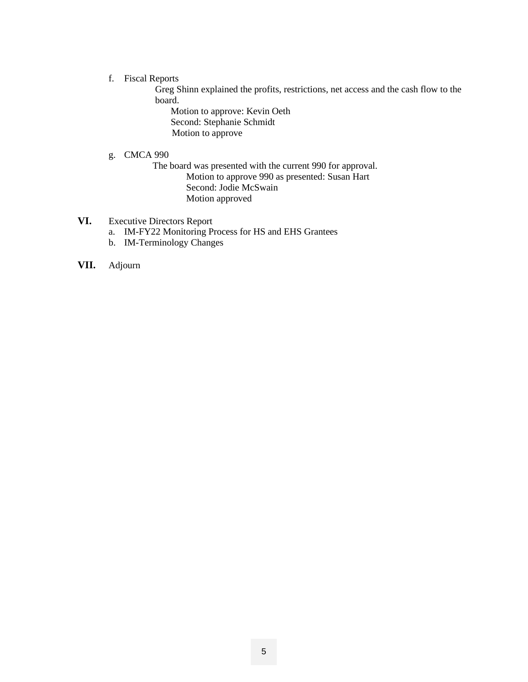#### f. Fiscal Reports

Greg Shinn explained the profits, restrictions, net access and the cash flow to the board.

Motion to approve: Kevin Oeth Second: Stephanie Schmidt Motion to approve

g. CMCA 990

 The board was presented with the current 990 for approval. Motion to approve 990 as presented: Susan Hart Second: Jodie McSwain Motion approved

### **VI.** Executive Directors Report

- a. IM-FY22 Monitoring Process for HS and EHS Grantees
- b. IM-Terminology Changes
- **VII.** Adjourn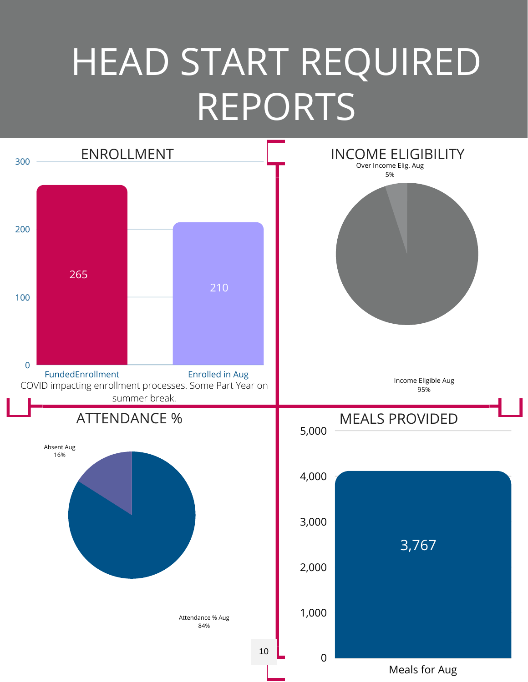### HEAD START REQUIRED REPORTS

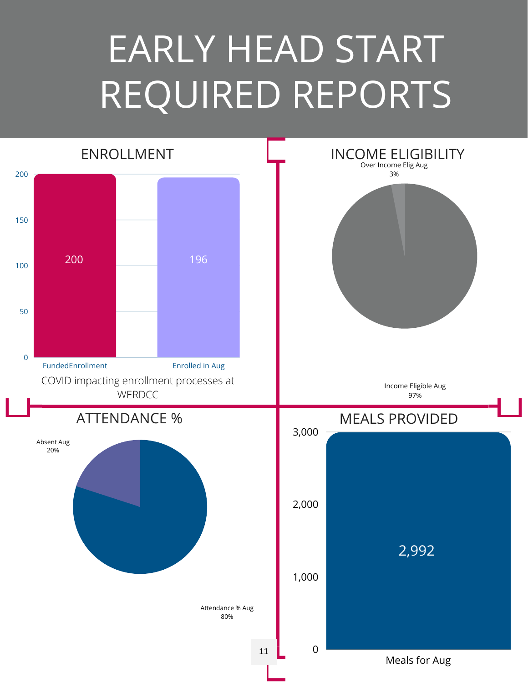## EARLY HEAD START REQUIRED REPORTS

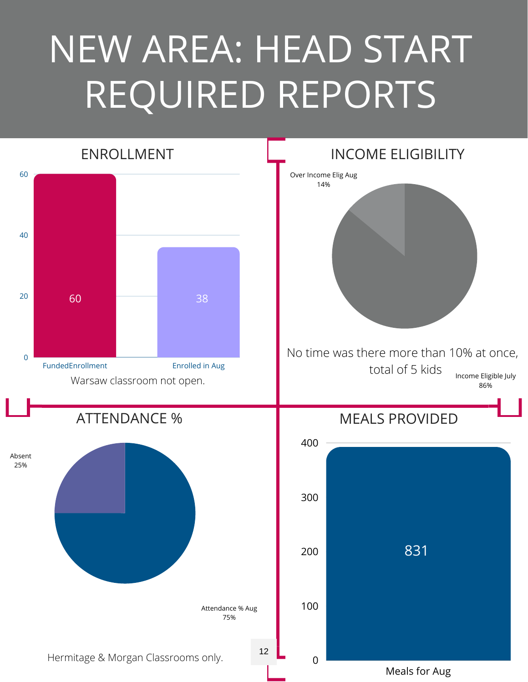## NEW AREA: HEAD START REQUIRED REPORTS

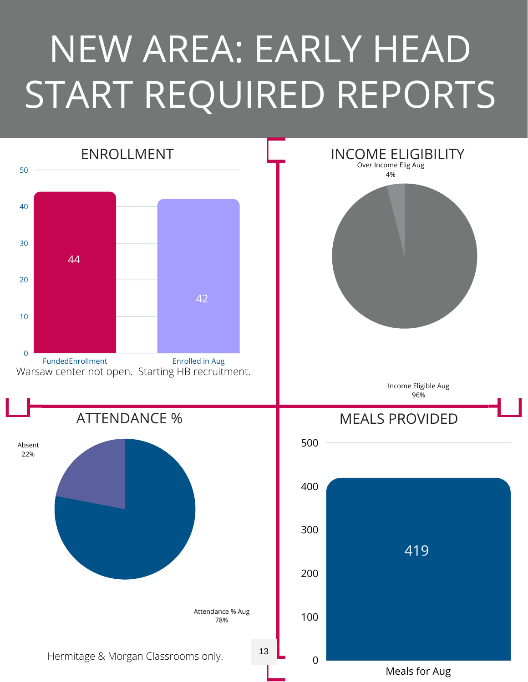# NEW AREA: EARLY HEAD START REQUIRED REPORTS

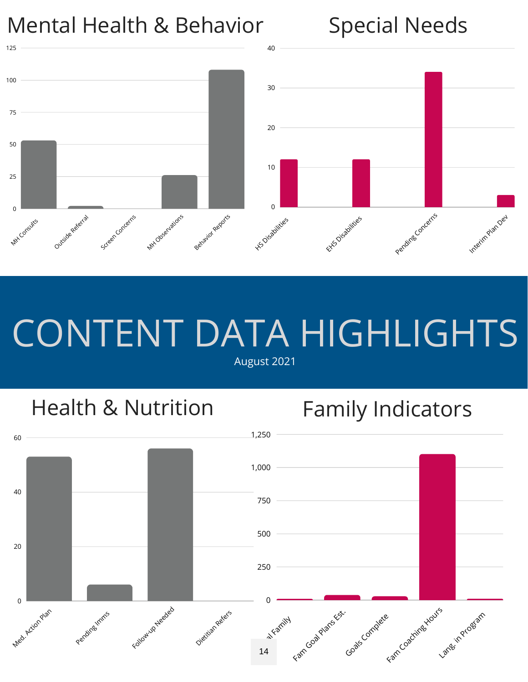

## CONTENT DATA HIGHLIGHTS

August 2021

### Health & Nutrition

### Family Indicators